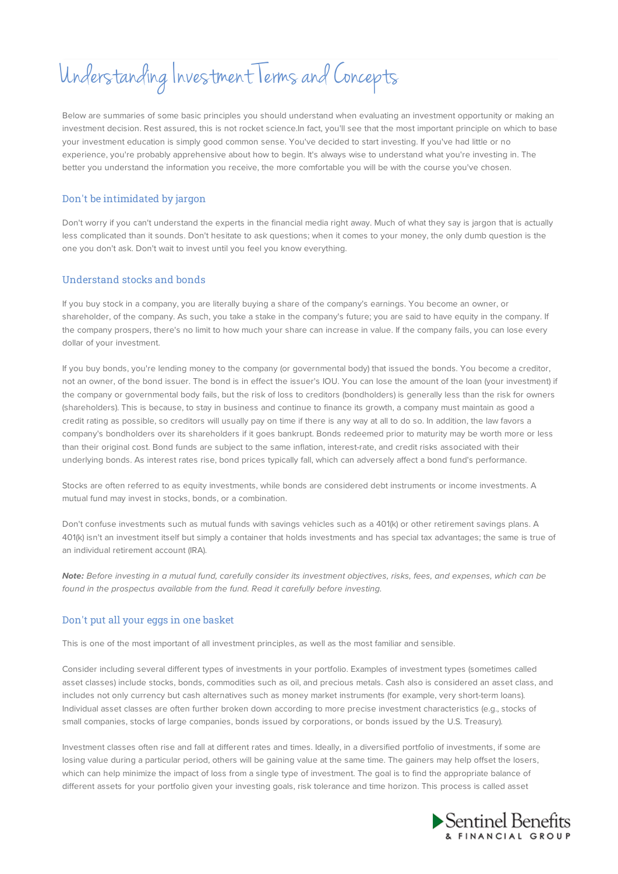Understanding Investment Terms and Concepts

Below are summaries of some basic principles you should understand when evaluating an investment opportunity or making an investment decision. Rest assured, this is not rocket science.In fact, you'll see that the most important principle on which to base your investment education is simply good common sense. You've decided to start investing. If you've had little or no experience, you're probably apprehensive about how to begin. It's always wise to understand what you're investing in. The better you understand the information you receive, the more comfortable you will be with the course you've chosen.

# Don't be intimidated by jargon

Don't worry if you can't understand the experts in the financial media right away. Much of what they say is jargon that is actually less complicated than it sounds. Don't hesitate to ask questions; when it comes to your money, the only dumb question is the one you don't ask. Don't wait to invest until you feel you know everything.

## Understand stocks and bonds

If you buy stock in a company, you are literally buying a share of the company's earnings. You become an owner, or shareholder, of the company. As such, you take a stake in the company's future; you are said to have equity in the company. If the company prospers, there's no limit to how much your share can increase in value. If the company fails, you can lose every dollar of your investment.

If you buy bonds, you're lending money to the company (or governmental body) that issued the bonds. You become a creditor, not an owner, of the bond issuer. The bond is in effect the issuer's IOU. You can lose the amount of the loan (your investment) if the company or governmental body fails, but the risk of loss to creditors (bondholders) is generally less than the risk for owners (shareholders). This is because, to stay in business and continue to finance its growth, a company must maintain as good a credit rating as possible, so creditors will usually pay on time if there is any way at all to do so. In addition, the law favors a company's bondholders over its shareholders if it goes bankrupt. Bonds redeemed prior to maturity may be worth more or less than their original cost. Bond funds are subject to the same inflation, interest-rate, and credit risks associated with their underlying bonds. As interest rates rise, bond prices typically fall, which can adversely affect a bond fund's performance.

Stocks are often referred to as equity investments, while bonds are considered debt instruments or income investments. A mutual fund may invest in stocks, bonds, or a combination.

Don't confuse investments such as mutual funds with savings vehicles such as a 401(k) or other retirement savings plans. A 401(k) isn't an investment itself but simply a container that holds investments and has special tax advantages; the same is true of an individual retirement account (IRA).

**Note:** Before investing in a mutual fund, carefully consider its investment objectives, risks, fees, and expenses, which can be found in the prospectus available from the fund. Read it carefully before investing.

## Don't put all your eggs in one basket

This is one of the most important of all investment principles, as well as the most familiar and sensible.

Consider including several different types of investments in your portfolio. Examples of investment types (sometimes called asset classes) include stocks, bonds, commodities such as oil, and precious metals. Cash also is considered an asset class, and includes not only currency but cash alternatives such as money market instruments (for example, very short-term loans). Individual asset classes are often further broken down according to more precise investment characteristics (e.g., stocks of small companies, stocks of large companies, bonds issued by corporations, or bonds issued by the U.S. Treasury).

Investment classes often rise and fall at different rates and times. Ideally, in a diversified portfolio of investments, if some are losing value during a particular period, others will be gaining value at the same time. The gainers may help offset the losers, which can help minimize the impact of loss from a single type of investment. The goal is to find the appropriate balance of different assets for your portfolio given your investing goals, risk tolerance and time horizon. This process is called asset

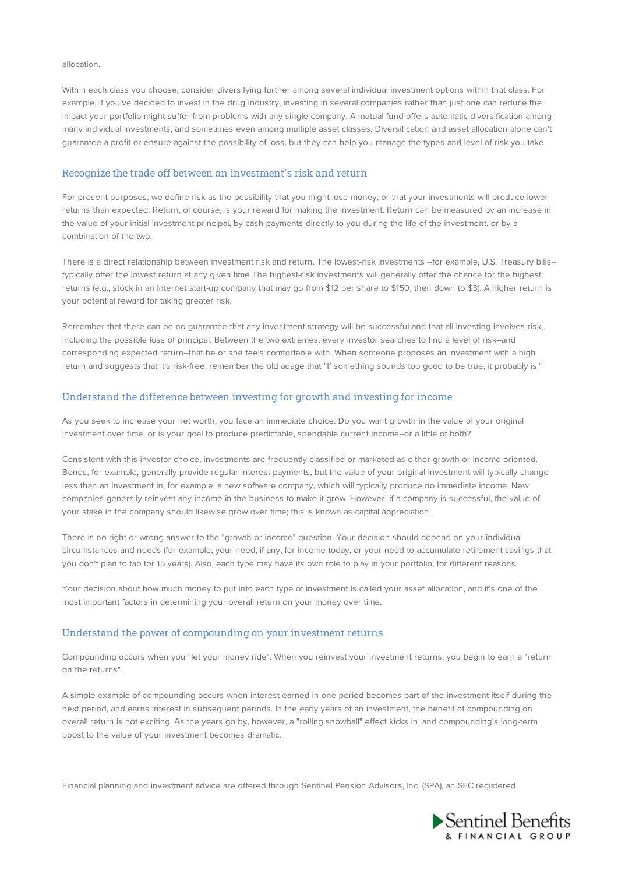#### allocation.

Within each class you choose, consider diversifying further among several individual investment options within that class. For example, if you've decided to invest in the drug industry, investing in several companies rather than just one can reduce the impact your portfolio might suffer from problems with any single company. A mutual fund offers automatic diversification among many individual investments, and sometimes even among multiple asset classes. Diversification and asset allocation alone can't guarantee a profit or ensure against the possibility of loss, but they can help you manage the types and level of risk you take.

### Recognize the trade off between an investment's risk and return

For present purposes, we define risk as the possibility that you might lose money, or that your investments will produce lower returns than expected. Return, of course, is your reward for making the investment. Return can be measured by an increase in the value of your initial investment principal, by cash payments directly to you during the life of the investment, or by a combination of the two.

There is a direct relationship between investment risk and return. The lowest-risk investments --for example, U.S. Treasury bills- typically offer the lowest return at any given time The highest-risk investments will generally offer the chance for the highest returns (e.g., stock in an Internet start-up company that may go from \$12 per share to \$150, then down to \$3). A higher return is your potential reward for taking greater risk.

Remember that there can be no guarantee that any investment strategy will be successful and that all investing involves risk, including the possible loss of principal. Between the two extremes, every investor searches to find a level of risk--and corresponding expected return--that he or she feels comfortable with. When someone proposes an investment with a high return and suggests that it's risk-free, remember the old adage that "If something sounds too good to be true, it probably is."

## Understand the difference between investing for growth and investing for income

As you seek to increase your net worth, you face an immediate choice: Do you want growth in the value of your original investment over time, or is your goal to produce predictable, spendable current income--or a little of both?

Consistent with this investor choice, investments are frequently classified or marketed as either growth or income oriented. Bonds, for example, generally provide regular interest payments, but the value of your original investment will typically change less than an investment in, for example, a new software company, which will typically produce no immediate income. New companies generally reinvest any income in the business to make it grow. However, if a company is successful, the value of your stake in the company should likewise grow over time; this is known as capital appreciation.

There is no right or wrong answer to the "growth or income" question. Your decision should depend on your individual circumstances and needs (for example, your need, if any, for income today, or your need to accumulate retirement savings that you don't plan to tap for 15 years). Also, each type may have its own role to play in your portfolio, for different reasons.

Your decision about how much money to put into each type of investment is called your asset allocation, and it's one of the most important factors in determining your overall return on your money over time.

## Understand the power of compounding on your investment returns

Compounding occurs when you "let your money ride". When you reinvest your investment returns, you begin to earn a "return on the returns".

A simple example of compounding occurs when interest earned in one period becomes part of the investment itself during the next period, and earns interest in subsequent periods. In the early years of an investment, the benefit of compounding on overall return is not exciting. As the years go by, however, a "rolling snowball" effect kicks in, and compounding's long-term boost to the value of your investment becomes dramatic.

Financial planning and investment advice are offered through Sentinel Pension Advisors, Inc. (SPA), an SEC registered